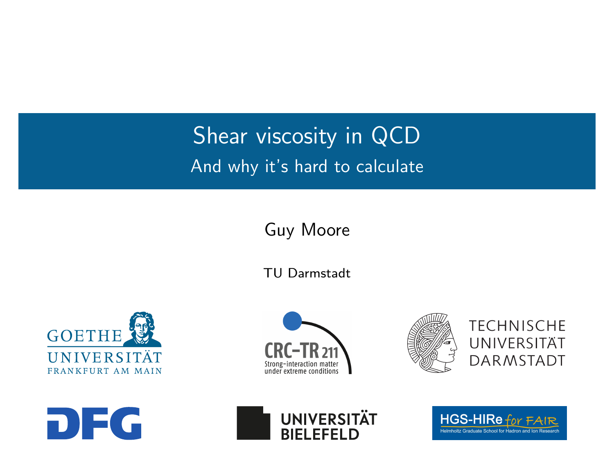### <span id="page-0-0"></span>**Shear viscosity in QCD** And why it's hard to calculate

Guy Moore

TU Darmstadt







**TECHNISCHE** UNIVERSITÄT **DARMSTADT** 





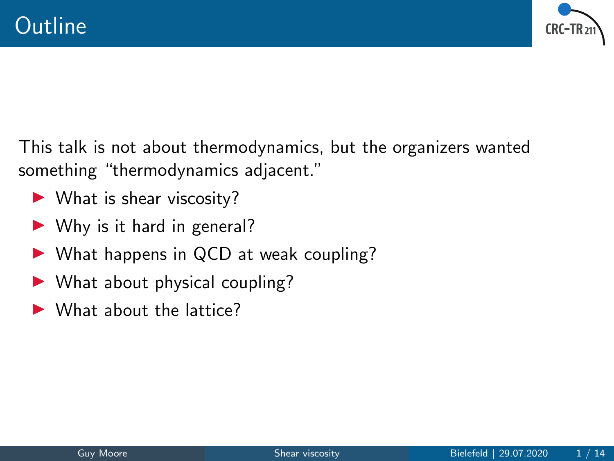

This talk is not about thermodynamics, but the organizers wanted something "thermodynamics adjacent."

- $\blacktriangleright$  What is shear viscosity?
- $\triangleright$  Why is it hard in general?
- $\triangleright$  What happens in QCD at weak coupling?
- $\triangleright$  What about physical coupling?
- $\blacktriangleright$  What about the lattice?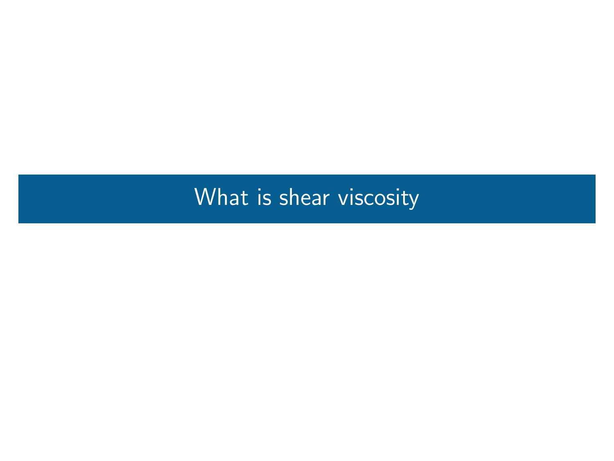## <span id="page-2-0"></span>[What is shear viscosity](#page-2-0)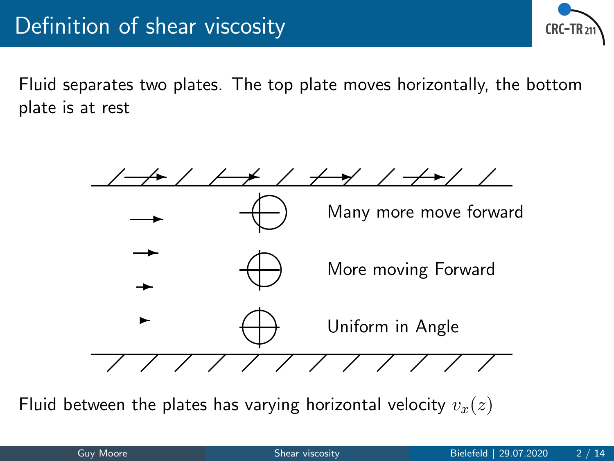

Fluid separates two plates. The top plate moves horizontally, the bottom plate is at rest



Fluid between the plates has varying horizontal velocity  $v_r(z)$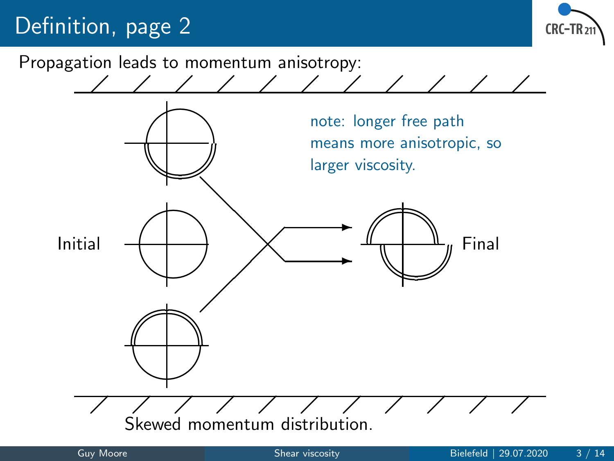## Definition, page 2



Propagation leads to momentum anisotropy:

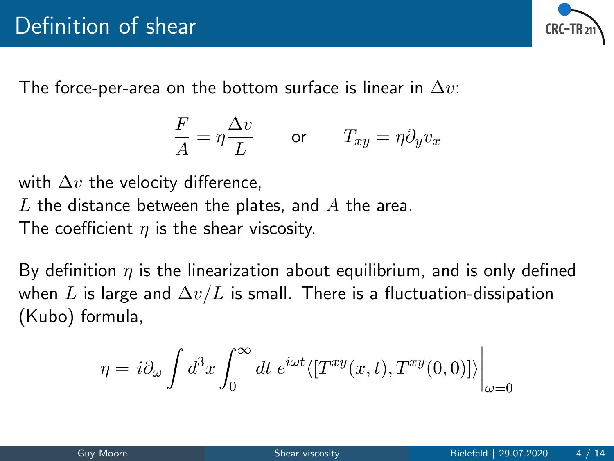

The force-per-area on the bottom surface is linear in  $\Delta v$ :

$$
\frac{F}{A} = \eta \frac{\Delta v}{L} \qquad \text{or} \qquad T_{xy} = \eta \partial_y v_x
$$

with  $\Delta v$  the velocity difference, L the distance between the plates, and  $A$  the area. The coefficient  $\eta$  is the shear viscosity.

By definition  $\eta$  is the linearization about equilibrium, and is only defined when L is large and  $\Delta v/L$  is small. There is a fluctuation-dissipation (Kubo) formula,

$$
\eta = i \partial_{\omega} \int d^{3}x \int_{0}^{\infty} dt \ e^{i\omega t} \langle [T^{xy}(x, t), T^{xy}(0, 0)] \rangle_{\omega=0}
$$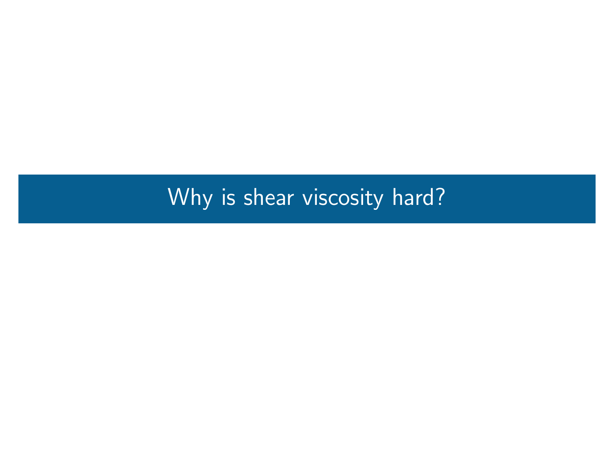## <span id="page-6-0"></span>[Why is shear viscosity hard?](#page-6-0)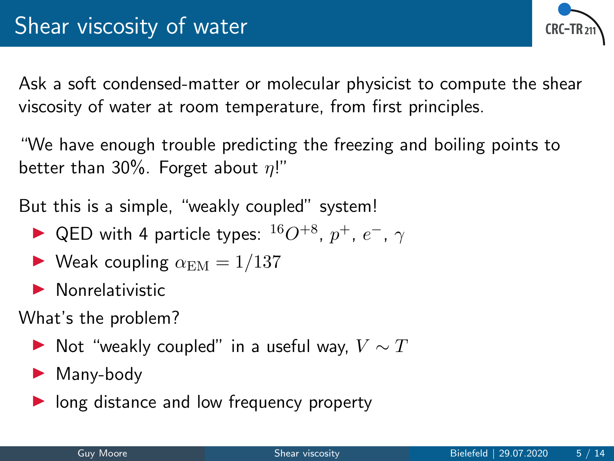**CRC - TR** 

Ask a soft condensed-matter or molecular physicist to compute the shear viscosity of water at room temperature, from first principles.

"We have enough trouble predicting the freezing and boiling points to better than 30%. Forget about  $\eta$ !"

But this is a simple, "weakly coupled" system!

- ▶ QED with 4 particle types:  $^{16}O^{+8}$ ,  $p^+$ ,  $e^-$ ,  $\gamma$
- $\blacktriangleright$  Weak coupling  $\alpha_{\text{EM}} = 1/137$
- $\blacktriangleright$  Nonrelativistic

What's the problem?

- $\blacktriangleright$  Not "weakly coupled" in a useful way,  $V \sim T$
- $\blacktriangleright$  Many-body
- $\triangleright$  long distance and low frequency property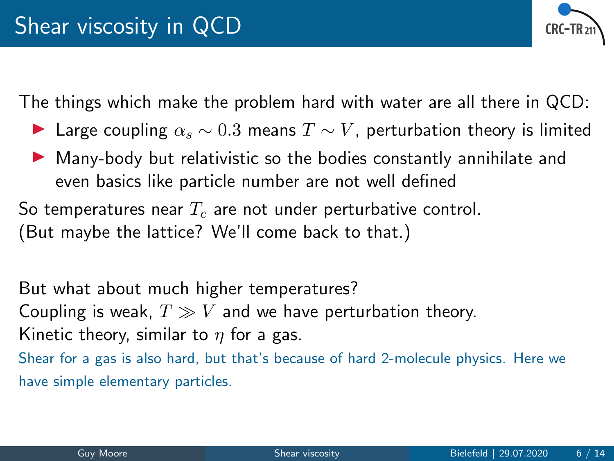

The things which make the problem hard with water are all there in QCD:

- **►** Large coupling  $\alpha_s \sim 0.3$  means  $T \sim V$ , perturbation theory is limited
- $\blacktriangleright$  Many-body but relativistic so the bodies constantly annihilate and even basics like particle number are not well defined

So temperatures near  $T_c$  are not under perturbative control. (But maybe the lattice? We'll come back to that.)

But what about much higher temperatures? Coupling is weak,  $T \gg V$  and we have perturbation theory. Kinetic theory, similar to  $\eta$  for a gas. Shear for a gas is also hard, but that's because of hard 2-molecule physics. Here we have simple elementary particles.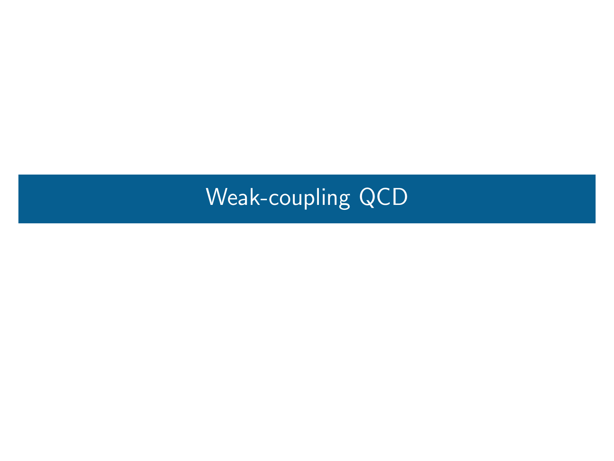## <span id="page-9-0"></span>[Weak-coupling QCD](#page-9-0)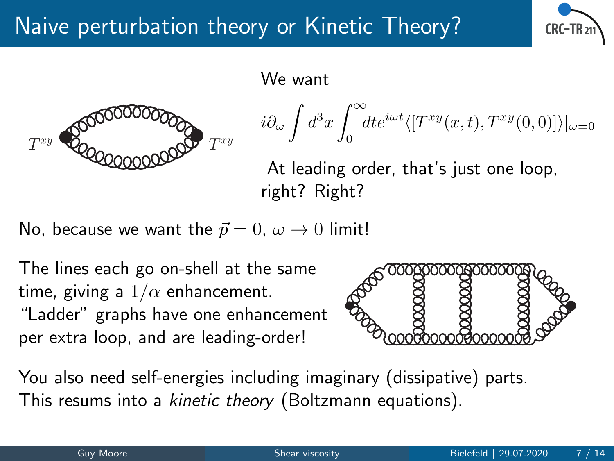

We want



$$
i\partial_{\omega}\int d^{3}x\int_{0}^{\infty}\!\!dt e^{i\omega t}\langle[T^{xy}(x,t),T^{xy}(0,0)]\rangle|_{\omega=0}
$$

At leading order, that's just one loop, right? Right?

No, because we want the  $\vec{p} = 0$ ,  $\omega \rightarrow 0$  limit!

The lines each go on-shell at the same time, giving a  $1/\alpha$  enhancement. "Ladder" graphs have one enhancement per extra loop, and are leading-order!



You also need self-energies including imaginary (dissipative) parts. This resums into a kinetic theory (Boltzmann equations).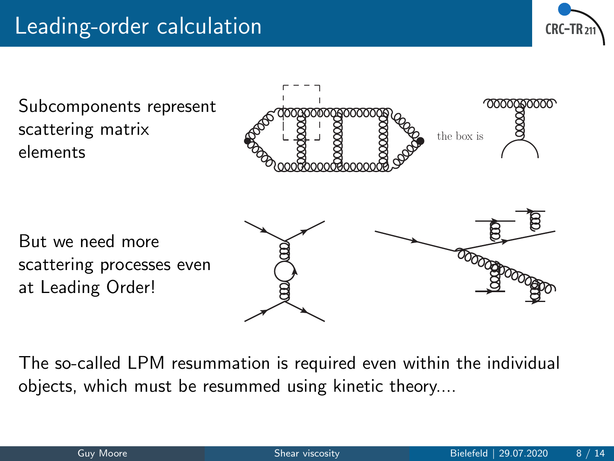



The so-called LPM resummation is required even within the individual objects, which must be resummed using kinetic theory....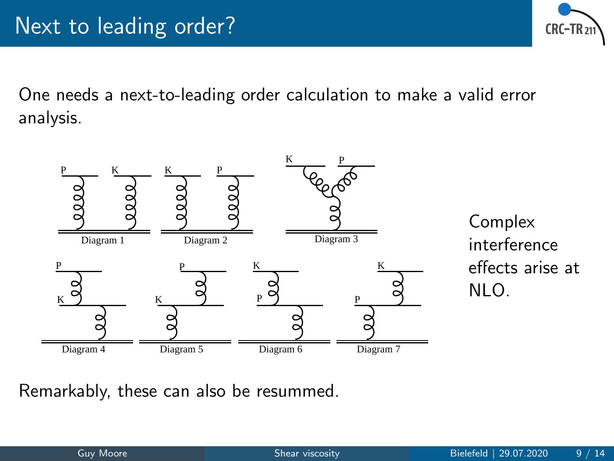

One needs a next-to-leading order calculation to make a valid error analysis.



Complex interference effects arise at NLO.

Remarkably, these can also be resummed.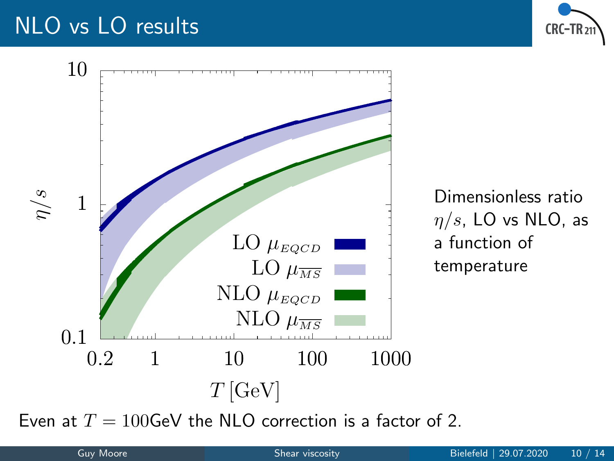### NLO vs LO results





Dimensionless ratio  $\eta/s$ , LO vs NLO, as a function of temperature

Even at  $T = 100$ GeV the NLO correction is a factor of 2.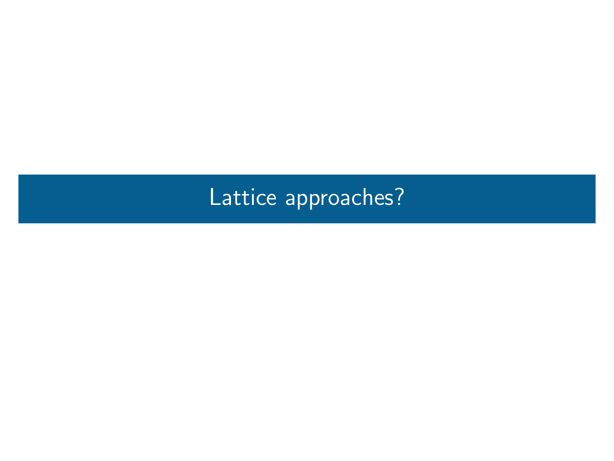# <span id="page-14-0"></span>[Lattice approaches?](#page-14-0)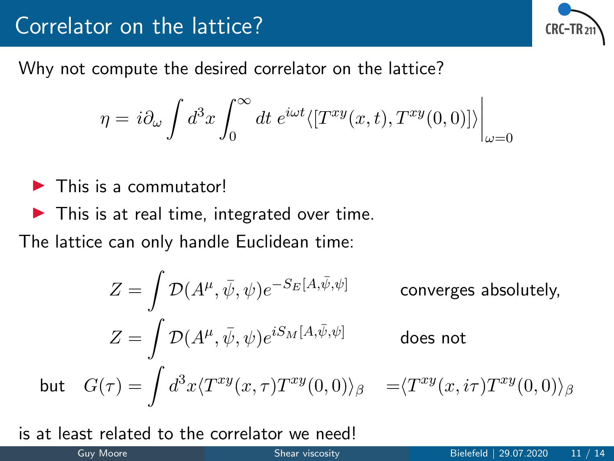#### Correlator on the lattice?



Why not compute the desired correlator on the lattice?

$$
\eta = i\partial_{\omega} \int d^{3}x \int_{0}^{\infty} dt \, e^{i\omega t} \langle [T^{xy}(x, t), T^{xy}(0, 0)] \rangle_{\omega=0}
$$

- $\blacktriangleright$  This is a commutator!
- $\blacktriangleright$  This is at real time, integrated over time.

The lattice can only handle Euclidean time:

$$
Z = \int \mathcal{D}(A^{\mu}, \bar{\psi}, \psi) e^{-S_E[A, \bar{\psi}, \psi]}
$$
 converges absolutely,  
\n
$$
Z = \int \mathcal{D}(A^{\mu}, \bar{\psi}, \psi) e^{iS_M[A, \bar{\psi}, \psi]}
$$
 does not  
\nbut 
$$
G(\tau) = \int d^3x \langle T^{xy}(x, \tau) T^{xy}(0, 0) \rangle_{\beta} = \langle T^{xy}(x, i\tau) T^{xy}(0, 0) \rangle_{\beta}
$$

is at least related to the correlator we need!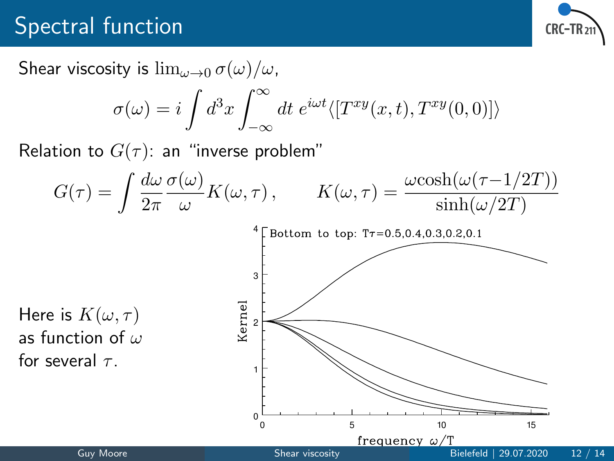### Spectral function



Shear viscosity is  $\lim_{\omega\to 0} \sigma(\omega)/\omega$ .

$$
\sigma(\omega) = i \int d^3x \int_{-\infty}^{\infty} dt \; e^{i\omega t} \langle [T^{xy}(x, t), T^{xy}(0, 0)] \rangle
$$

Relation to  $G(\tau)$ : an "inverse problem"

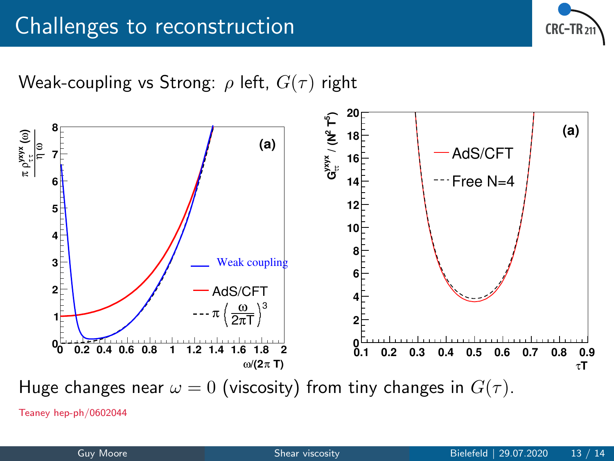

Weak-coupling vs Strong:  $\rho$  left,  $G(\tau)$  right



Teaney hep-ph/0602044